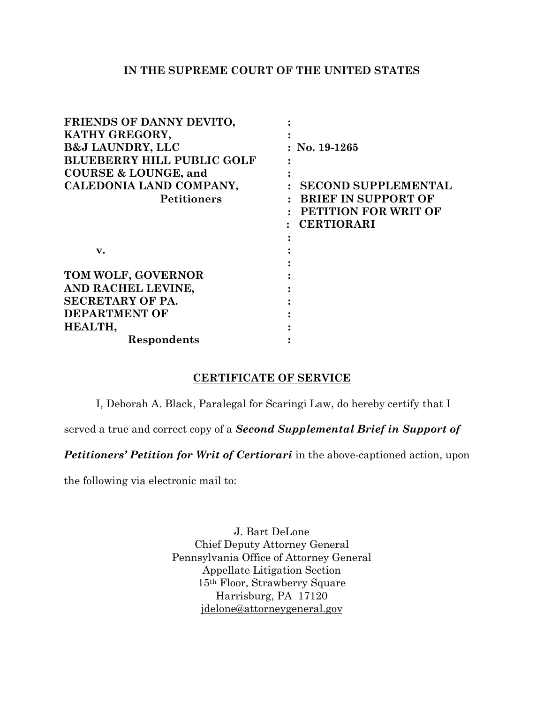## **IN THE SUPREME COURT OF THE UNITED STATES**

| FRIENDS OF DANNY DEVITO,          |                            |
|-----------------------------------|----------------------------|
| KATHY GREGORY,                    |                            |
| <b>B&amp;J LAUNDRY, LLC</b>       | $:$ No. 19-1265            |
| <b>BLUEBERRY HILL PUBLIC GOLF</b> |                            |
| <b>COURSE &amp; LOUNGE, and</b>   |                            |
| CALEDONIA LAND COMPANY,           | <b>SECOND SUPPLEMENTAL</b> |
| <b>Petitioners</b>                | <b>BRIEF IN SUPPORT OF</b> |
|                                   | PETITION FOR WRIT OF       |
|                                   | <b>CERTIORARI</b>          |
|                                   |                            |
| $\mathbf{v}$ .                    |                            |
|                                   |                            |
| TOM WOLF, GOVERNOR                |                            |
| AND RACHEL LEVINE,                |                            |
| <b>SECRETARY OF PA.</b>           |                            |
| <b>DEPARTMENT OF</b>              |                            |
| HEALTH,                           |                            |
| Respondents                       |                            |

## **CERTIFICATE OF SERVICE**

I, Deborah A. Black, Paralegal for Scaringi Law, do hereby certify that I

served a true and correct copy of a *Second Supplemental Brief in Support of* 

*Petitioners' Petition for Writ of Certiorari* in the above-captioned action, upon

the following via electronic mail to:

J. Bart DeLone Chief Deputy Attorney General Pennsylvania Office of Attorney General Appellate Litigation Section 15th Floor, Strawberry Square Harrisburg, PA 17120 [jdelone@attorneygeneral.gov](mailto:jdelone@attorneygeneral.gov)